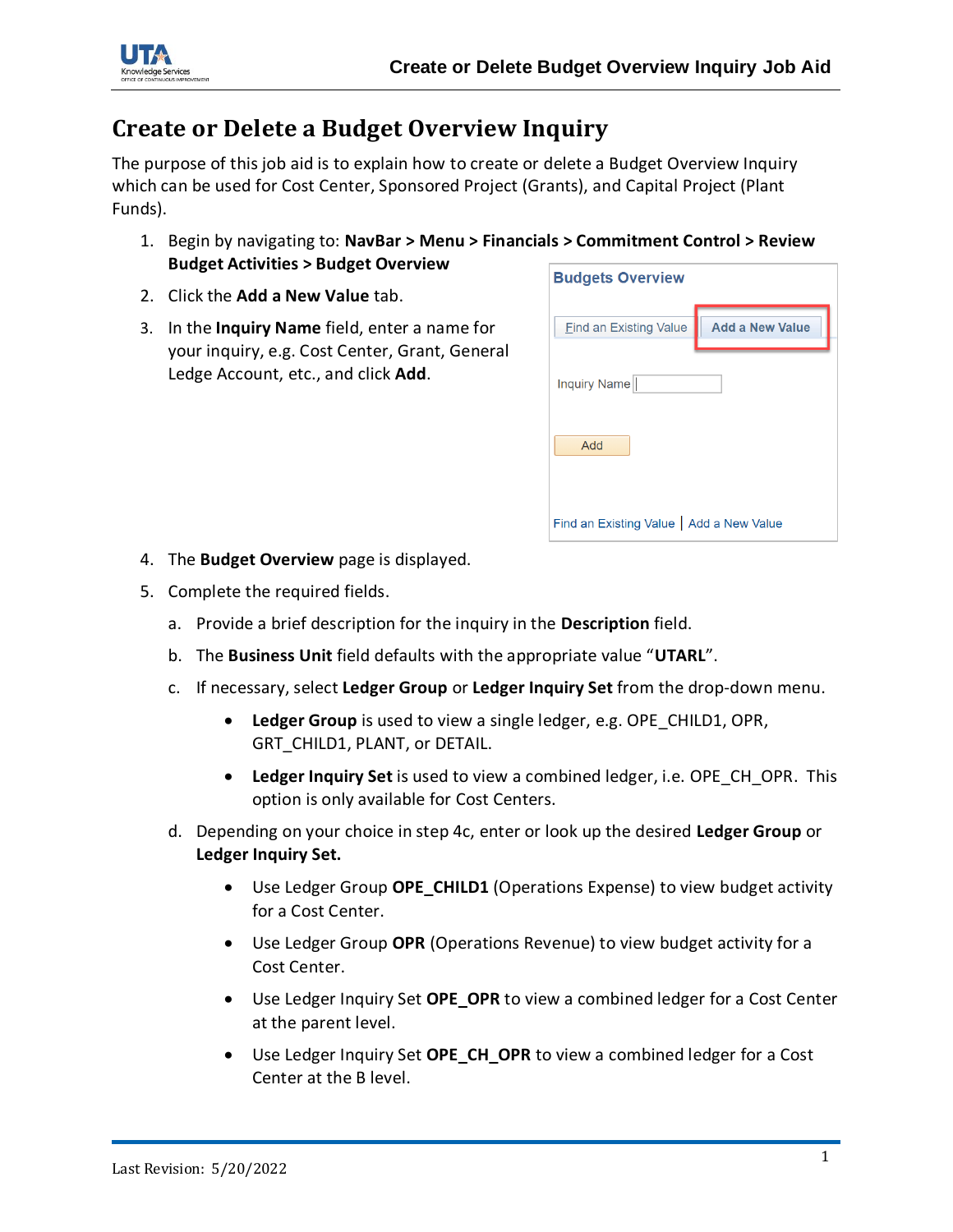



## **Create or Delete a Budget Overview Inquiry**

The purpose of this job aid is to explain how to create or delete a Budget Overview Inquiry which can be used for Cost Center, Sponsored Project (Grants), and Capital Project (Plant Funds).

- 1. Begin by navigating to: **NavBar > Menu > Financials > Commitment Control > Review Budget Activities > Budget Overview**
- 2. Click the **Add a New Value** tab.
- 3. In the **Inquiry Name** field, enter a name for your inquiry, e.g. Cost Center, Grant, General Ledge Account, etc., and click **Add**.

| <b>Budgets Overview</b>                  |                        |
|------------------------------------------|------------------------|
| <b>Find an Existing Value</b>            | <b>Add a New Value</b> |
| Inquiry Name                             |                        |
| Add                                      |                        |
| Find an Existing Value   Add a New Value |                        |

- 4. The **Budget Overview** page is displayed.
- 5. Complete the required fields.
	- a. Provide a brief description for the inquiry in the **Description** field.
	- b. The **Business Unit** field defaults with the appropriate value "**UTARL**".
	- c. If necessary, select **Ledger Group** or **Ledger Inquiry Set** from the drop-down menu.
		- **Ledger Group** is used to view a single ledger, e.g. OPE\_CHILD1, OPR, GRT\_CHILD1, PLANT, or DETAIL.
		- **Ledger Inquiry Set** is used to view a combined ledger, i.e. OPE\_CH\_OPR. This option is only available for Cost Centers.
	- d. Depending on your choice in step 4c, enter or look up the desired **Ledger Group** or **Ledger Inquiry Set.**
		- Use Ledger Group **OPE CHILD1** (Operations Expense) to view budget activity for a Cost Center.
		- Use Ledger Group **OPR** (Operations Revenue) to view budget activity for a Cost Center.
		- Use Ledger Inquiry Set **OPE\_OPR** to view a combined ledger for a Cost Center at the parent level.
		- Use Ledger Inquiry Set **OPE\_CH\_OPR** to view a combined ledger for a Cost Center at the B level.